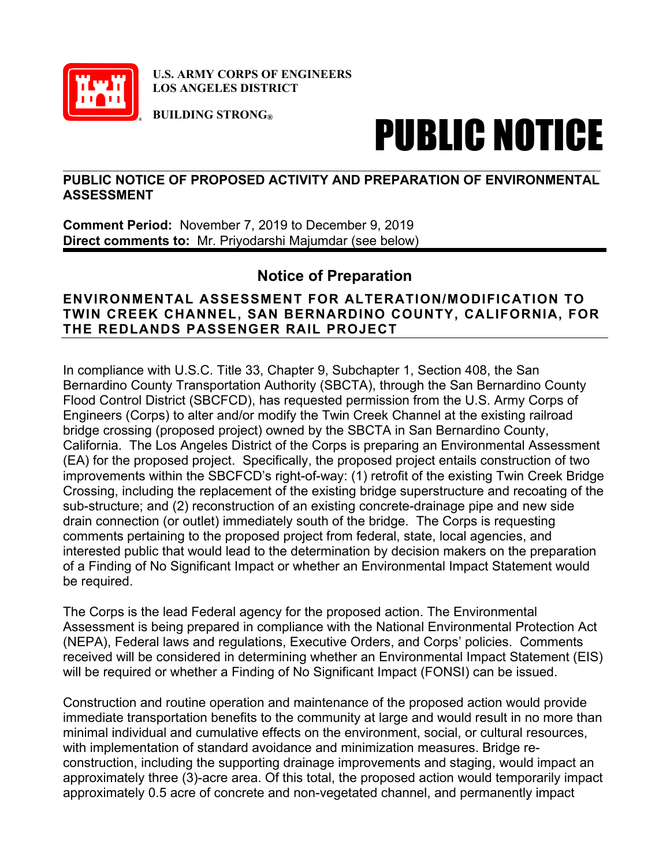

**U.S. ARMY CORPS OF ENGINEERS LOS ANGELES DISTRICT**

**BUILDING STRONG®**

## PUBLIC NOTICE

## $\_$  , and the set of the set of the set of the set of the set of the set of the set of the set of the set of the set of the set of the set of the set of the set of the set of the set of the set of the set of the set of th **PUBLIC NOTICE OF PROPOSED ACTIVITY AND PREPARATION OF ENVIRONMENTAL ASSESSMENT**

**Comment Period:** November 7, 2019 to December 9, 2019 **Direct comments to:** Mr. Priyodarshi Majumdar (see below)

## **Notice of Preparation**

## **ENVIRONMENTAL ASSESSMENT FOR ALTERATION/MODIFICATION TO TWIN CREEK CHANNEL, SAN BERNARDINO COUNTY, CALIFORNIA, FOR THE REDLANDS PASSENGER RAIL PROJECT**

In compliance with U.S.C. Title 33, Chapter 9, Subchapter 1, Section 408, the San Bernardino County Transportation Authority (SBCTA), through the San Bernardino County Flood Control District (SBCFCD), has requested permission from the U.S. Army Corps of Engineers (Corps) to alter and/or modify the Twin Creek Channel at the existing railroad bridge crossing (proposed project) owned by the SBCTA in San Bernardino County, California. The Los Angeles District of the Corps is preparing an Environmental Assessment (EA) for the proposed project. Specifically, the proposed project entails construction of two improvements within the SBCFCD's right-of-way: (1) retrofit of the existing Twin Creek Bridge Crossing, including the replacement of the existing bridge superstructure and recoating of the sub-structure; and (2) reconstruction of an existing concrete-drainage pipe and new side drain connection (or outlet) immediately south of the bridge. The Corps is requesting comments pertaining to the proposed project from federal, state, local agencies, and interested public that would lead to the determination by decision makers on the preparation of a Finding of No Significant Impact or whether an Environmental Impact Statement would be required.

The Corps is the lead Federal agency for the proposed action. The Environmental Assessment is being prepared in compliance with the National Environmental Protection Act (NEPA), Federal laws and regulations, Executive Orders, and Corps' policies. Comments received will be considered in determining whether an Environmental Impact Statement (EIS) will be required or whether a Finding of No Significant Impact (FONSI) can be issued.

Construction and routine operation and maintenance of the proposed action would provide immediate transportation benefits to the community at large and would result in no more than minimal individual and cumulative effects on the environment, social, or cultural resources, with implementation of standard avoidance and minimization measures. Bridge reconstruction, including the supporting drainage improvements and staging, would impact an approximately three (3)-acre area. Of this total, the proposed action would temporarily impact approximately 0.5 acre of concrete and non-vegetated channel, and permanently impact